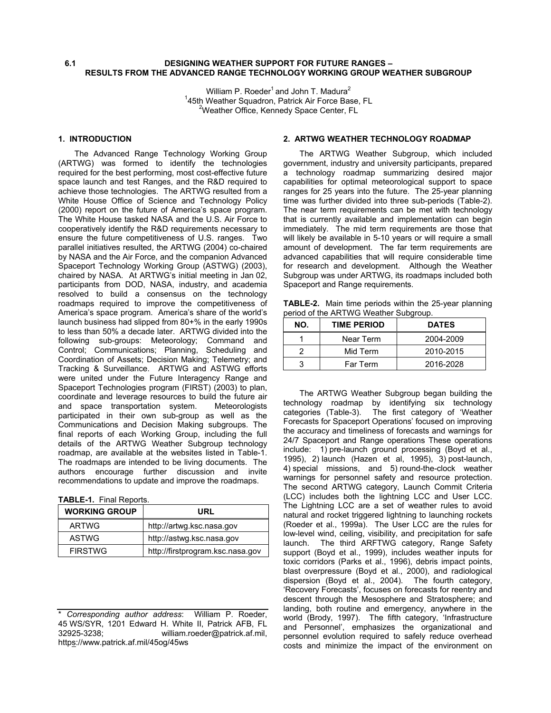#### **6.1 DESIGNING WEATHER SUPPORT FOR FUTURE RANGES – RESULTS FROM THE ADVANCED RANGE TECHNOLOGY WORKING GROUP WEATHER SUBGROUP**

William P. Roeder<sup>1</sup> and John T. Madura<sup>2</sup> <sup>1</sup>45th Weather Squadron, Patrick Air Force Base, FL<br><sup>2</sup>Weather Office, Kennedy Space Center, FL <sup>2</sup>Weather Office, Kennedy Space Center, FL

### **1. INTRODUCTION**

The Advanced Range Technology Working Group (ARTWG) was formed to identify the technologies required for the best performing, most cost-effective future space launch and test Ranges, and the R&D required to achieve those technologies. The ARTWG resulted from a White House Office of Science and Technology Policy (2000) report on the future of America's space program. The White House tasked NASA and the U.S. Air Force to cooperatively identify the R&D requirements necessary to ensure the future competitiveness of U.S. ranges. Two parallel initiatives resulted, the ARTWG (2004) co-chaired by NASA and the Air Force, and the companion Advanced Spaceport Technology Working Group (ASTWG) (2003), chaired by NASA. At ARTWG's initial meeting in Jan 02, participants from DOD, NASA, industry, and academia resolved to build a consensus on the technology roadmaps required to improve the competitiveness of America's space program. America's share of the world's launch business had slipped from 80+% in the early 1990s to less than 50% a decade later. ARTWG divided into the following sub-groups: Meteorology; Command and Control; Communications; Planning, Scheduling and Coordination of Assets; Decision Making; Telemetry; and Tracking & Surveillance. ARTWG and ASTWG efforts were united under the Future Interagency Range and Spaceport Technologies program (FIRST) (2003) to plan, coordinate and leverage resources to build the future air and space transportation system. Meteorologists participated in their own sub-group as well as the Communications and Decision Making subgroups. The final reports of each Working Group, including the full details of the ARTWG Weather Subgroup technology roadmap, are available at the websites listed in Table-1. The roadmaps are intended to be living documents. The authors encourage further discussion and invite recommendations to update and improve the roadmaps.

|  | <b>TABLE-1.</b> Final Reports. |
|--|--------------------------------|
|--|--------------------------------|

| <b>WORKING GROUP</b> | URL                              |
|----------------------|----------------------------------|
| <b>ARTWG</b>         | http://artwg.ksc.nasa.gov        |
| <b>ASTWG</b>         | http://astwg.ksc.nasa.gov        |
| <b>FIRSTWG</b>       | http://firstprogram.ksc.nasa.gov |

### **2. ARTWG WEATHER TECHNOLOGY ROADMAP**

The ARTWG Weather Subgroup, which included government, industry and university participants, prepared a technology roadmap summarizing desired major capabilities for optimal meteorological support to space ranges for 25 years into the future. The 25-year planning time was further divided into three sub-periods (Table-2). The near term requirements can be met with technology that is currently available and implementation can begin immediately. The mid term requirements are those that will likely be available in 5-10 years or will require a small amount of development. The far term requirements are advanced capabilities that will require considerable time for research and development. Although the Weather Subgroup was under ARTWG, its roadmaps included both Spaceport and Range requirements.

**TABLE-2.** Main time periods within the 25-year planning period of the ARTWG Weather Subgroup.

| NO. | <b>TIME PERIOD</b> | <b>DATES</b> |  |
|-----|--------------------|--------------|--|
|     | Near Term          | 2004-2009    |  |
|     | Mid Term           | 2010-2015    |  |
|     | Far Term           | 2016-2028    |  |

The ARTWG Weather Subgroup began building the technology roadmap by identifying six technology<br>categories (Table-3). The first category of 'Weather The first category of 'Weather Forecasts for Spaceport Operations' focused on improving the accuracy and timeliness of forecasts and warnings for 24/7 Spaceport and Range operations These operations include: 1) pre-launch ground processing (Boyd et al., 1995), 2) launch (Hazen et al, 1995), 3) post-launch, 4) special missions, and 5) round-the-clock weather warnings for personnel safety and resource protection. The second ARTWG category, Launch Commit Criteria (LCC) includes both the lightning LCC and User LCC. The Lightning LCC are a set of weather rules to avoid natural and rocket triggered lightning to launching rockets (Roeder et al., 1999a). The User LCC are the rules for low-level wind, ceiling, visibility, and precipitation for safe launch. The third ARFTWG category, Range Safety support (Boyd et al., 1999), includes weather inputs for toxic corridors (Parks et al., 1996), debris impact points, blast overpressure (Boyd et al., 2000), and radiological dispersion (Boyd et al., 2004). The fourth category, 'Recovery Forecasts', focuses on forecasts for reentry and descent through the Mesosphere and Stratosphere; and landing, both routine and emergency, anywhere in the world (Brody, 1997). The fifth category, 'Infrastructure and Personnel', emphasizes the organizational and personnel evolution required to safely reduce overhead costs and minimize the impact of the environment on

<sup>\*</sup> *Corresponding author address*: William P. Roeder, 45 WS/SYR, 1201 Edward H. White II, Patrick AFB, FL william.roeder@patrick.af.mil, https://www.patrick.af.mil/45og/45ws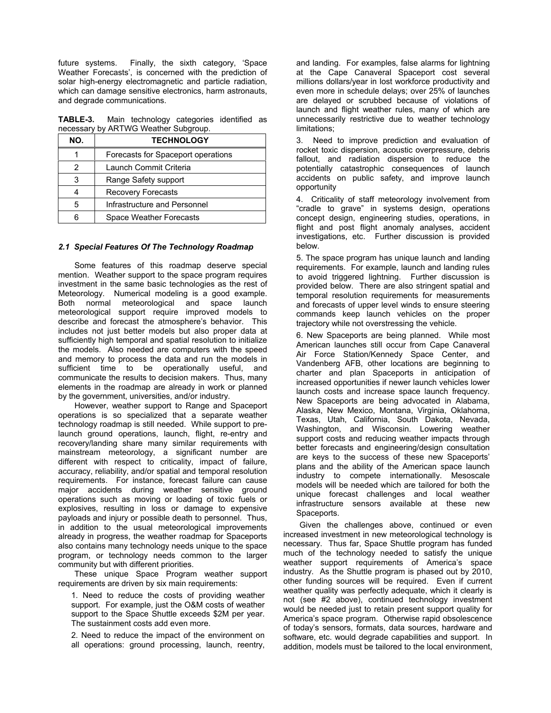future systems. Finally, the sixth category, 'Space Weather Forecasts', is concerned with the prediction of solar high-energy electromagnetic and particle radiation, which can damage sensitive electronics, harm astronauts, and degrade communications.

**TABLE-3.** Main technology categories identified as necessary by ARTWG Weather Subgroup.

| NO. | <b>TECHNOLOGY</b>                  |
|-----|------------------------------------|
|     | Forecasts for Spaceport operations |
|     | Launch Commit Criteria             |
| 3   | Range Safety support               |
|     | <b>Recovery Forecasts</b>          |
| 5   | Infrastructure and Personnel       |
|     | Space Weather Forecasts            |

### *2.1 Special Features Of The Technology Roadmap*

Some features of this roadmap deserve special mention. Weather support to the space program requires investment in the same basic technologies as the rest of Meteorology. Numerical modeling is a good example. Both normal meteorological and space launch meteorological support require improved models to describe and forecast the atmosphere's behavior. This includes not just better models but also proper data at sufficiently high temporal and spatial resolution to initialize the models. Also needed are computers with the speed and memory to process the data and run the models in sufficient time to be operationally useful, and communicate the results to decision makers. Thus, many elements in the roadmap are already in work or planned by the government, universities, and/or industry.

However, weather support to Range and Spaceport operations is so specialized that a separate weather technology roadmap is still needed. While support to prelaunch ground operations, launch, flight, re-entry and recovery/landing share many similar requirements with mainstream meteorology, a significant number are different with respect to criticality, impact of failure, accuracy, reliability, and/or spatial and temporal resolution requirements. For instance, forecast failure can cause major accidents during weather sensitive ground operations such as moving or loading of toxic fuels or explosives, resulting in loss or damage to expensive payloads and injury or possible death to personnel. Thus, in addition to the usual meteorological improvements already in progress, the weather roadmap for Spaceports also contains many technology needs unique to the space program, or technology needs common to the larger community but with different priorities.

These unique Space Program weather support requirements are driven by six main requirements:

1. Need to reduce the costs of providing weather support. For example, just the O&M costs of weather support to the Space Shuttle exceeds \$2M per year. The sustainment costs add even more.

2. Need to reduce the impact of the environment on all operations: ground processing, launch, reentry,

and landing. For examples, false alarms for lightning at the Cape Canaveral Spaceport cost several millions dollars/year in lost workforce productivity and even more in schedule delays; over 25% of launches are delayed or scrubbed because of violations of launch and flight weather rules, many of which are unnecessarily restrictive due to weather technology limitations;

3. Need to improve prediction and evaluation of rocket toxic dispersion, acoustic overpressure, debris fallout, and radiation dispersion to reduce the potentially catastrophic consequences of launch accidents on public safety, and improve launch opportunity

4. Criticality of staff meteorology involvement from "cradle to grave" in systems design, operations concept design, engineering studies, operations, in flight and post flight anomaly analyses, accident investigations, etc. Further discussion is provided below.

5. The space program has unique launch and landing requirements. For example, launch and landing rules to avoid triggered lightning. Further discussion is provided below. There are also stringent spatial and temporal resolution requirements for measurements and forecasts of upper level winds to ensure steering commands keep launch vehicles on the proper trajectory while not overstressing the vehicle.

6. New Spaceports are being planned. While most American launches still occur from Cape Canaveral Air Force Station/Kennedy Space Center, and Vandenberg AFB, other locations are beginning to charter and plan Spaceports in anticipation of increased opportunities if newer launch vehicles lower launch costs and increase space launch frequency. New Spaceports are being advocated in Alabama, Alaska, New Mexico, Montana, Virginia, Oklahoma, Texas, Utah, California, South Dakota, Nevada, Washington, and Wisconsin. Lowering weather support costs and reducing weather impacts through better forecasts and engineering/design consultation are keys to the success of these new Spaceports' plans and the ability of the American space launch industry to compete internationally. Mesoscale models will be needed which are tailored for both the unique forecast challenges and local weather infrastructure sensors available at these new Spaceports.

Given the challenges above, continued or even increased investment in new meteorological technology is necessary. Thus far, Space Shuttle program has funded much of the technology needed to satisfy the unique weather support requirements of America's space industry. As the Shuttle program is phased out by 2010, other funding sources will be required. Even if current weather quality was perfectly adequate, which it clearly is not (see #2 above), continued technology investment would be needed just to retain present support quality for America's space program. Otherwise rapid obsolescence of today's sensors, formats, data sources, hardware and software, etc. would degrade capabilities and support. In addition, models must be tailored to the local environment,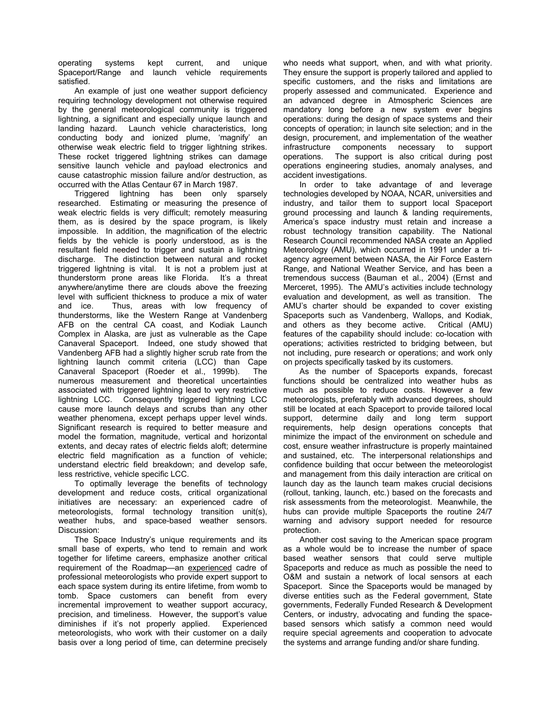operating systems kept current, and unique Spaceport/Range and launch vehicle requirements satisfied.

An example of just one weather support deficiency requiring technology development not otherwise required by the general meteorological community is triggered lightning, a significant and especially unique launch and landing hazard. Launch vehicle characteristics, long conducting body and ionized plume, 'magnify' an otherwise weak electric field to trigger lightning strikes. These rocket triggered lightning strikes can damage sensitive launch vehicle and payload electronics and cause catastrophic mission failure and/or destruction, as occurred with the Atlas Centaur 67 in March 1987.

Triggered lightning has been only sparsely researched. Estimating or measuring the presence of weak electric fields is very difficult; remotely measuring them, as is desired by the space program, is likely impossible. In addition, the magnification of the electric fields by the vehicle is poorly understood, as is the resultant field needed to trigger and sustain a lightning discharge. The distinction between natural and rocket triggered lightning is vital. It is not a problem just at thunderstorm prone areas like Florida. It's a threat anywhere/anytime there are clouds above the freezing level with sufficient thickness to produce a mix of water and ice. Thus, areas with low frequency of thunderstorms, like the Western Range at Vandenberg AFB on the central CA coast, and Kodiak Launch Complex in Alaska, are just as vulnerable as the Cape Canaveral Spaceport. Indeed, one study showed that Vandenberg AFB had a slightly higher scrub rate from the lightning launch commit criteria (LCC) than Cape Canaveral Spaceport (Roeder et al., 1999b). The numerous measurement and theoretical uncertainties associated with triggered lightning lead to very restrictive lightning LCC. Consequently triggered lightning LCC cause more launch delays and scrubs than any other weather phenomena, except perhaps upper level winds. Significant research is required to better measure and model the formation, magnitude, vertical and horizontal extents, and decay rates of electric fields aloft; determine electric field magnification as a function of vehicle; understand electric field breakdown; and develop safe, less restrictive, vehicle specific LCC.

To optimally leverage the benefits of technology development and reduce costs, critical organizational initiatives are necessary: an experienced cadre of meteorologists, formal technology transition unit(s), weather hubs, and space-based weather sensors. Discussion:

The Space Industry's unique requirements and its small base of experts, who tend to remain and work together for lifetime careers, emphasize another critical requirement of the Roadmap—an experienced cadre of professional meteorologists who provide expert support to each space system during its entire lifetime, from womb to tomb. Space customers can benefit from every incremental improvement to weather support accuracy, precision, and timeliness. However, the support's value diminishes if it's not properly applied. Experienced meteorologists, who work with their customer on a daily basis over a long period of time, can determine precisely who needs what support, when, and with what priority. They ensure the support is properly tailored and applied to specific customers, and the risks and limitations are properly assessed and communicated. Experience and an advanced degree in Atmospheric Sciences are mandatory long before a new system ever begins operations: during the design of space systems and their concepts of operation; in launch site selection; and in the design, procurement, and implementation of the weather infrastructure components necessary to support operations. The support is also critical during post operations engineering studies, anomaly analyses, and accident investigations.

In order to take advantage of and leverage technologies developed by NOAA, NCAR, universities and industry, and tailor them to support local Spaceport ground processing and launch & landing requirements, America's space industry must retain and increase a robust technology transition capability. The National Research Council recommended NASA create an Applied Meteorology (AMU), which occurred in 1991 under a triagency agreement between NASA, the Air Force Eastern Range, and National Weather Service, and has been a tremendous success (Bauman et al., 2004) (Ernst and Merceret, 1995). The AMU's activities include technology evaluation and development, as well as transition. The AMU's charter should be expanded to cover existing Spaceports such as Vandenberg, Wallops, and Kodiak, and others as they become active. Critical (AMU) features of the capability should include: co-location with operations; activities restricted to bridging between, but not including, pure research or operations; and work only on projects specifically tasked by its customers.

As the number of Spaceports expands, forecast functions should be centralized into weather hubs as much as possible to reduce costs. However a few meteorologists, preferably with advanced degrees, should still be located at each Spaceport to provide tailored local support, determine daily and long term support requirements, help design operations concepts that minimize the impact of the environment on schedule and cost, ensure weather infrastructure is properly maintained and sustained, etc. The interpersonal relationships and confidence building that occur between the meteorologist and management from this daily interaction are critical on launch day as the launch team makes crucial decisions (rollout, tanking, launch, etc.) based on the forecasts and risk assessments from the meteorologist. Meanwhile, the hubs can provide multiple Spaceports the routine 24/7 warning and advisory support needed for resource protection.

Another cost saving to the American space program as a whole would be to increase the number of space based weather sensors that could serve multiple Spaceports and reduce as much as possible the need to O&M and sustain a network of local sensors at each Spaceport. Since the Spaceports would be managed by diverse entities such as the Federal government, State governments, Federally Funded Research & Development Centers, or industry, advocating and funding the spacebased sensors which satisfy a common need would require special agreements and cooperation to advocate the systems and arrange funding and/or share funding.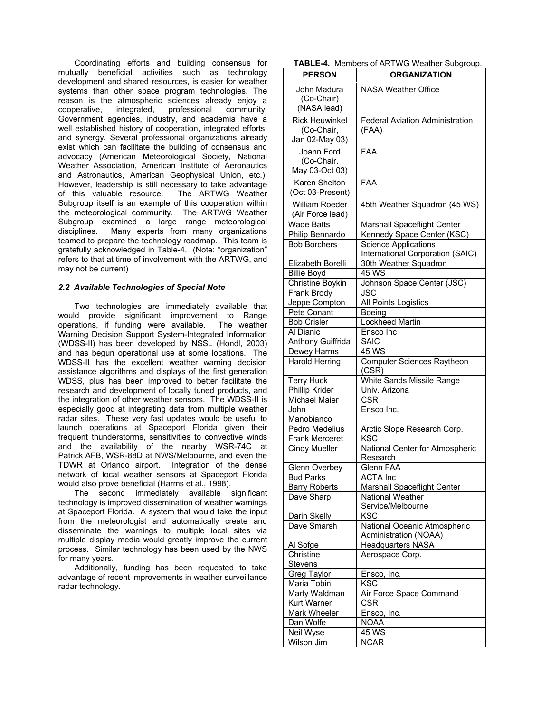Coordinating efforts and building consensus for mutually beneficial activities such as technology development and shared resources, is easier for weather systems than other space program technologies. The reason is the atmospheric sciences already enjoy a cooperative, integrated, professional community. Government agencies, industry, and academia have a well established history of cooperation, integrated efforts, and synergy. Several professional organizations already exist which can facilitate the building of consensus and advocacy (American Meteorological Society, National Weather Association, American Institute of Aeronautics and Astronautics, American Geophysical Union, etc.). However, leadership is still necessary to take advantage of this valuable resource. The ARTWG Weather Subgroup itself is an example of this cooperation within the meteorological community. The ARTWG Weather Subgroup examined a large range meteorological disciplines. Many experts from many organizations teamed to prepare the technology roadmap. This team is gratefully acknowledged in Table-4. (Note: "organization" refers to that at time of involvement with the ARTWG, and may not be current)

## *2.2 Available Technologies of Special Note*

Two technologies are immediately available that would provide significant improvement to Range operations, if funding were available. The weather Warning Decision Support System-Integrated Information (WDSS-II) has been developed by NSSL (Hondl, 2003) and has begun operational use at some locations. The WDSS-II has the excellent weather warning decision assistance algorithms and displays of the first generation WDSS, plus has been improved to better facilitate the research and development of locally tuned products, and the integration of other weather sensors. The WDSS-II is especially good at integrating data from multiple weather radar sites. These very fast updates would be useful to launch operations at Spaceport Florida given their frequent thunderstorms, sensitivities to convective winds and the availability of the nearby WSR-74C at Patrick AFB, WSR-88D at NWS/Melbourne, and even the TDWR at Orlando airport. Integration of the dense network of local weather sensors at Spaceport Florida would also prove beneficial (Harms et al., 1998).

The second immediately available significant technology is improved dissemination of weather warnings at Spaceport Florida. A system that would take the input from the meteorologist and automatically create and disseminate the warnings to multiple local sites via multiple display media would greatly improve the current process. Similar technology has been used by the NWS for many years.

 Additionally, funding has been requested to take advantage of recent improvements in weather surveillance radar technology.

|  |  | TABLE-4. Members of ARTWG Weather Subgroup. |  |  |
|--|--|---------------------------------------------|--|--|
|--|--|---------------------------------------------|--|--|

| <b>PERSON</b>                                         | ORGANIZATION                                                    |
|-------------------------------------------------------|-----------------------------------------------------------------|
| John Madura<br>(Co-Chair)<br>(NASA lead)              | NASA Weather Office                                             |
| <b>Rick Heuwinkel</b><br>(Co-Chair,<br>Jan 02-May 03) | <b>Federal Aviation Administration</b><br>(FAA)                 |
| Joann Ford<br>(Co-Chair,<br>May 03-Oct 03)            | FAA                                                             |
| Karen Shelton<br>(Oct 03-Present)                     | FAA                                                             |
| William Roeder<br>(Air Force lead)                    | 45th Weather Squadron (45 WS)                                   |
| <b>Wade Batts</b>                                     | Marshall Spaceflight Center                                     |
| Philip Bennardo                                       | Kennedy Space Center (KSC)                                      |
| <b>Bob Borchers</b>                                   | <b>Science Applications</b><br>International Corporation (SAIC) |
| Elizabeth Borelli                                     | 30th Weather Squadron                                           |
| <b>Billie Boyd</b>                                    | $\overline{45}$ WS                                              |
| Christine Boykin                                      | Johnson Space Center (JSC)                                      |
| Frank Brody                                           | <b>JSC</b>                                                      |
| Jeppe Compton                                         | All Points Logistics                                            |
| Pete Conant                                           | Boeing                                                          |
| <b>Bob Crisler</b>                                    | <b>Lockheed Martin</b>                                          |
| Al Dianic                                             | Ensco Inc                                                       |
| <b>Anthony Guiffrida</b>                              | SAIC                                                            |
| Dewey Harms                                           | 45 WS                                                           |
| <b>Harold Herring</b>                                 | <b>Computer Sciences Raytheon</b><br>(CSR)                      |
| <b>Terry Huck</b>                                     | White Sands Missile Range                                       |
| Phillip Krider                                        | Univ. Arizona                                                   |
| Michael Maier                                         | <b>CSR</b>                                                      |
| John                                                  | Ensco Inc.                                                      |
| Manobianco                                            |                                                                 |
| Pedro Medelius                                        | Arctic Slope Research Corp.                                     |
| <b>Frank Merceret</b>                                 | <b>KSC</b>                                                      |
| Cindy Mueller                                         | National Center for Atmospheric<br>Research                     |
| Glenn Overbey                                         | Glenn FAA                                                       |
| <b>Bud Parks</b>                                      | <b>ACTA Inc</b>                                                 |
| <b>Barry Roberts</b>                                  | Marshall Spaceflight Center                                     |
| Dave Sharp                                            | <b>National Weather</b><br>Service/Melbourne                    |
| Darin Skelly                                          | <b>KSC</b>                                                      |
| Dave Smarsh                                           | National Oceanic Atmospheric<br><b>Administration (NOAA)</b>    |
| Al Sofge                                              | <b>Headquarters NASA</b>                                        |
| Christine<br><b>Stevens</b>                           | Aerospace Corp.                                                 |
| Greg Taylor                                           | Ensco, Inc.                                                     |
| Maria Tobin                                           | KSC                                                             |
| Marty Waldman                                         | Air Force Space Command                                         |
| Kurt Warner                                           | <b>CSR</b>                                                      |
| Mark Wheeler                                          | Ensco, Inc.                                                     |
| Dan Wolfe                                             | <b>NOAA</b>                                                     |
| Neil Wyse                                             | 45 WS                                                           |
| Wilson Jim                                            | <b>NCAR</b>                                                     |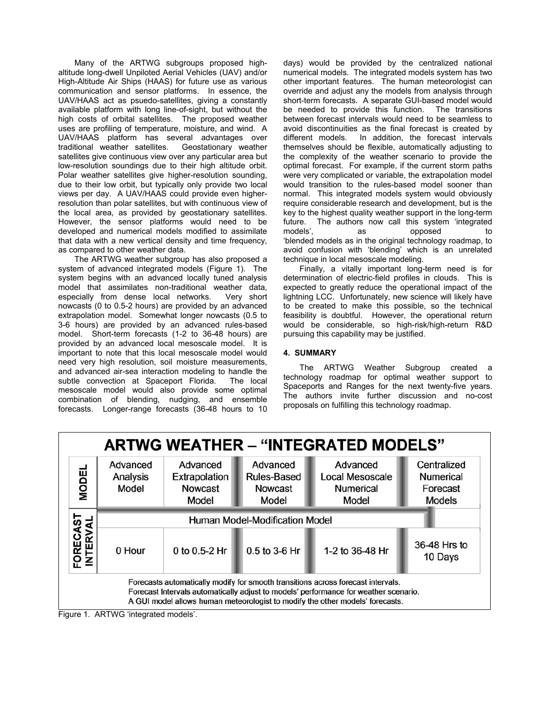Many of the ARTWG subgroups proposed highaltitude long-dwell Unpiloted Aerial Vehicles (UAV) and/or High-Altitude Air Ships (HAAS) for future use as various communication and sensor platforms. In essence, the UAV/HAAS act as psuedo-satellites, giving a constantly available platform with long line-of-sight, but without the high costs of orbital satellites. The proposed weather uses are profiling of temperature, moisture, and wind. A UAV/HAAS platform has several advantages over traditional weather satellites. Geostationary weather satellites give continuous view over any particular area but low-resolution soundings due to their high altitude orbit. Polar weather satellites give higher-resolution sounding, due to their low orbit, but typically only provide two local views per day. A UAV/HAAS could provide even higherresolution than polar satellites, but with continuous view of the local area, as provided by geostationary satellites. However, the sensor platforms would need to be developed and numerical models modified to assimilate that data with a new vertical density and time frequency, as compared to other weather data.

The ARTWG weather subgroup has also proposed a system of advanced integrated models (Figure 1). The system begins with an advanced locally tuned analysis model that assimilates non-traditional weather data, especially from dense local networks. Very short nowcasts (0 to 0.5-2 hours) are provided by an advanced extrapolation model. Somewhat longer nowcasts (0.5 to 3-6 hours) are provided by an advanced rules-based model. Short-term forecasts (1-2 to 36-48 hours) are provided by an advanced local mesoscale model. It is important to note that this local mesoscale model would need very high resolution, soil moisture measurements, and advanced air-sea interaction modeling to handle the subtle convection at Spaceport Florida. The local mesoscale model would also provide some optimal combination of blending, nudging, and ensemble forecasts. Longer-range forecasts (36-48 hours to 10

days) would be provided by the centralized national numerical models. The integrated models system has two other important features. The human meteorologist can override and adjust any the models from analysis through short-term forecasts. A separate GUI-based model would be needed to provide this function. The transitions between forecast intervals would need to be seamless to avoid discontinuities as the final forecast is created by different models. In addition, the forecast intervals themselves should be flexible, automatically adjusting to the complexity of the weather scenario to provide the optimal forecast. For example, if the current storm paths were very complicated or variable, the extrapolation model would transition to the rules-based model sooner than normal. This integrated models system would obviously require considerable research and development, but is the key to the highest quality weather support in the long-term future. The authors now call this system 'integrated models', as **by** opposed to 'blended models as in the original technology roadmap, to avoid confusion with 'blending' which is an unrelated technique in local mesoscale modeling.

Finally, a vitally important long-term need is for determination of electric-field profiles in clouds. This is expected to greatly reduce the operational impact of the lightning LCC. Unfortunately, new science will likely have to be created to make this possible, so the technical feasibility is doubtful. However, the operational return would be considerable, so high-risk/high-return R&D pursuing this capability may be justified.

# **4. SUMMARY**

The ARTWG Weather Subgroup created a technology roadmap for optimal weather support to Spaceports and Ranges for the next twenty-five years. The authors invite further discussion and no-cost proposals on fulfilling this technology roadmap.



Figure 1. ARTWG 'integrated models'.